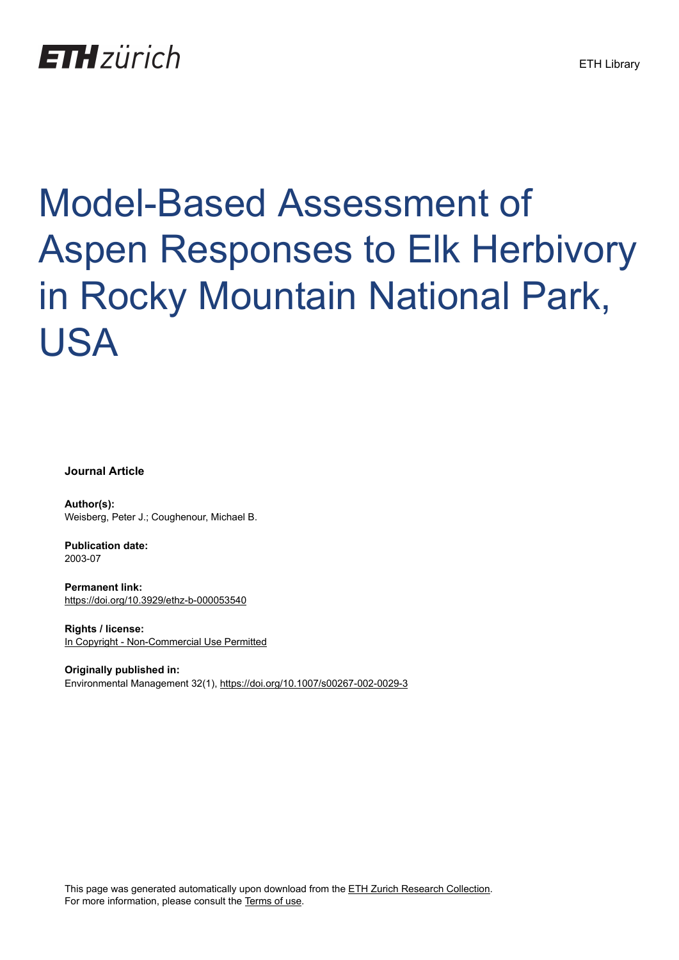## **ETH** zürich

# Model-Based Assessment of Aspen Responses to Elk Herbivory in Rocky Mountain National Park, USA

**Journal Article**

**Author(s):** Weisberg, Peter J.; Coughenour, Michael B.

**Publication date:** 2003-07

**Permanent link:** <https://doi.org/10.3929/ethz-b-000053540>

**Rights / license:** [In Copyright - Non-Commercial Use Permitted](http://rightsstatements.org/page/InC-NC/1.0/)

**Originally published in:** Environmental Management 32(1), <https://doi.org/10.1007/s00267-002-0029-3>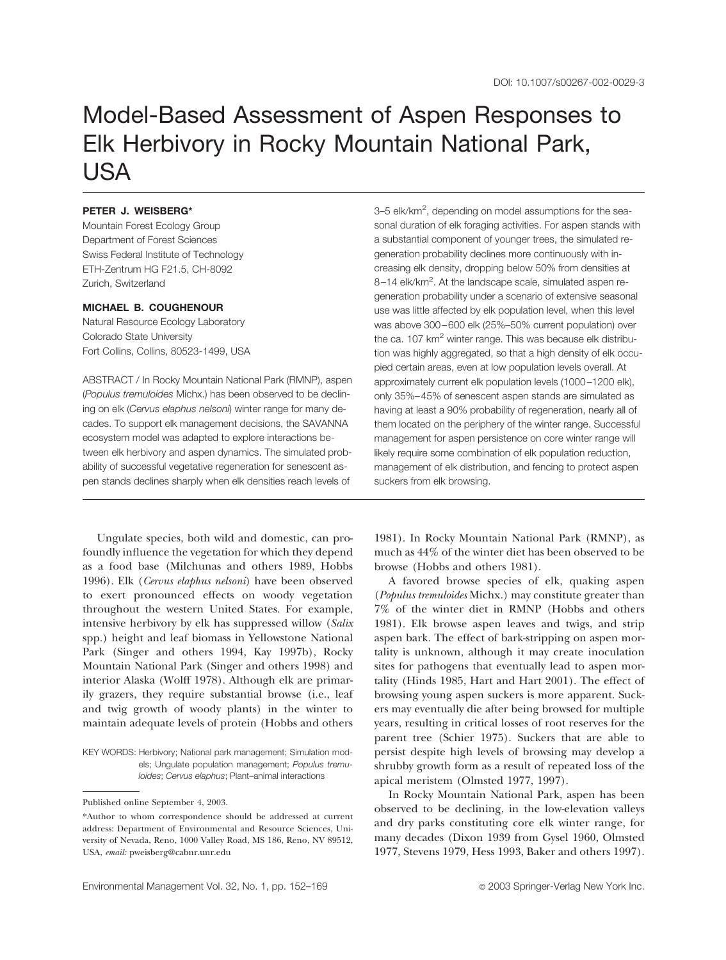### Model-Based Assessment of Aspen Responses to Elk Herbivory in Rocky Mountain National Park, USA

#### **PETER J. WEISBERG\***

Mountain Forest Ecology Group Department of Forest Sciences Swiss Federal Institute of Technology ETH-Zentrum HG F21.5, CH-8092 Zurich, Switzerland

#### **MICHAEL B. COUGHENOUR**

Natural Resource Ecology Laboratory Colorado State University Fort Collins, Collins, 80523-1499, USA

ABSTRACT / In Rocky Mountain National Park (RMNP), aspen (*Populus tremuloides* Michx.) has been observed to be declining on elk (*Cervus elaphus nelsoni*) winter range for many decades. To support elk management decisions, the SAVANNA ecosystem model was adapted to explore interactions between elk herbivory and aspen dynamics. The simulated probability of successful vegetative regeneration for senescent aspen stands declines sharply when elk densities reach levels of

Ungulate species, both wild and domestic, can profoundly influence the vegetation for which they depend as a food base (Milchunas and others 1989, Hobbs 1996). Elk (*Cervus elaphus nelsoni*) have been observed to exert pronounced effects on woody vegetation throughout the western United States. For example, intensive herbivory by elk has suppressed willow (*Salix* spp.) height and leaf biomass in Yellowstone National Park (Singer and others 1994, Kay 1997b), Rocky Mountain National Park (Singer and others 1998) and interior Alaska (Wolff 1978). Although elk are primarily grazers, they require substantial browse (i.e., leaf and twig growth of woody plants) in the winter to maintain adequate levels of protein (Hobbs and others

KEY WORDS: Herbivory; National park management; Simulation models; Ungulate population management; *Populus tremuloides*; *Cervus elaphus*; Plant–animal interactions

3-5 elk/km<sup>2</sup>, depending on model assumptions for the seasonal duration of elk foraging activities. For aspen stands with a substantial component of younger trees, the simulated regeneration probability declines more continuously with increasing elk density, dropping below 50% from densities at 8-14 elk/km<sup>2</sup>. At the landscape scale, simulated aspen regeneration probability under a scenario of extensive seasonal use was little affected by elk population level, when this level was above 300–600 elk (25%–50% current population) over the ca.  $107 \text{ km}^2$  winter range. This was because elk distribution was highly aggregated, so that a high density of elk occupied certain areas, even at low population levels overall. At approximately current elk population levels (1000–1200 elk), only 35%–45% of senescent aspen stands are simulated as having at least a 90% probability of regeneration, nearly all of them located on the periphery of the winter range. Successful management for aspen persistence on core winter range will likely require some combination of elk population reduction, management of elk distribution, and fencing to protect aspen suckers from elk browsing.

1981). In Rocky Mountain National Park (RMNP), as much as 44% of the winter diet has been observed to be browse (Hobbs and others 1981).

A favored browse species of elk, quaking aspen (*Populus tremuloides* Michx.) may constitute greater than 7% of the winter diet in RMNP (Hobbs and others 1981). Elk browse aspen leaves and twigs, and strip aspen bark. The effect of bark-stripping on aspen mortality is unknown, although it may create inoculation sites for pathogens that eventually lead to aspen mortality (Hinds 1985, Hart and Hart 2001). The effect of browsing young aspen suckers is more apparent. Suckers may eventually die after being browsed for multiple years, resulting in critical losses of root reserves for the parent tree (Schier 1975). Suckers that are able to persist despite high levels of browsing may develop a shrubby growth form as a result of repeated loss of the apical meristem (Olmsted 1977, 1997).

In Rocky Mountain National Park, aspen has been observed to be declining, in the low-elevation valleys and dry parks constituting core elk winter range, for many decades (Dixon 1939 from Gysel 1960, Olmsted 1977, Stevens 1979, Hess 1993, Baker and others 1997).

Published online September 4, 2003.

<sup>\*</sup>Author to whom correspondence should be addressed at current address: Department of Environmental and Resource Sciences, University of Nevada, Reno, 1000 Valley Road, MS 186, Reno, NV 89512, USA, *email:* pweisberg@cabnr.unr.edu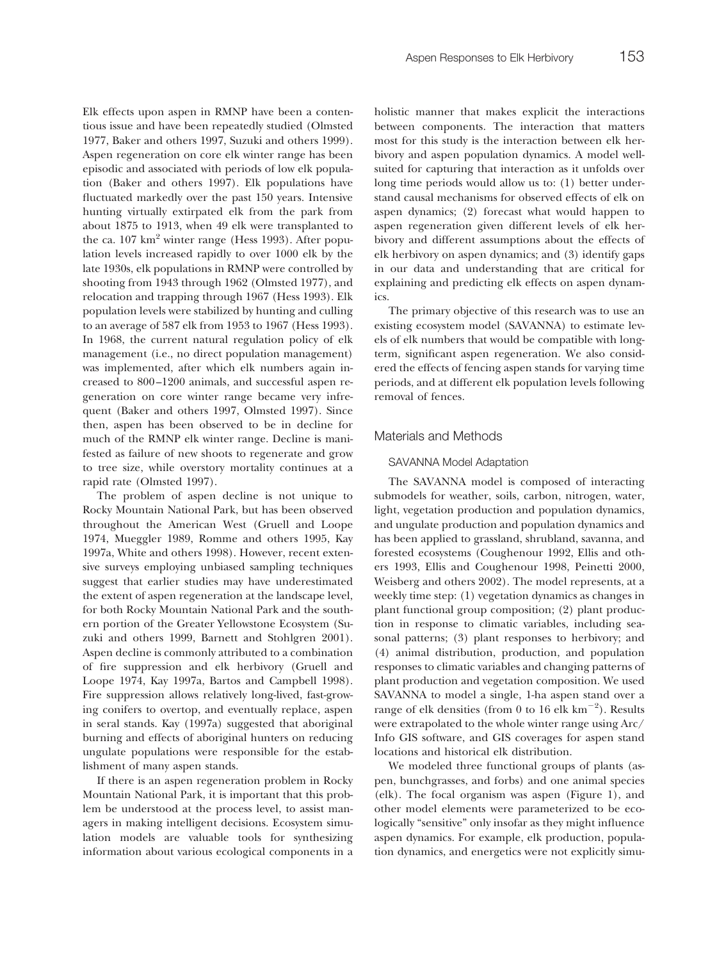Elk effects upon aspen in RMNP have been a contentious issue and have been repeatedly studied (Olmsted 1977, Baker and others 1997, Suzuki and others 1999). Aspen regeneration on core elk winter range has been episodic and associated with periods of low elk population (Baker and others 1997). Elk populations have fluctuated markedly over the past 150 years. Intensive hunting virtually extirpated elk from the park from about 1875 to 1913, when 49 elk were transplanted to the ca.  $107 \text{ km}^2$  winter range (Hess 1993). After population levels increased rapidly to over 1000 elk by the late 1930s, elk populations in RMNP were controlled by shooting from 1943 through 1962 (Olmsted 1977), and relocation and trapping through 1967 (Hess 1993). Elk population levels were stabilized by hunting and culling to an average of 587 elk from 1953 to 1967 (Hess 1993). In 1968, the current natural regulation policy of elk management (i.e., no direct population management) was implemented, after which elk numbers again increased to 800–1200 animals, and successful aspen regeneration on core winter range became very infrequent (Baker and others 1997, Olmsted 1997). Since then, aspen has been observed to be in decline for much of the RMNP elk winter range. Decline is manifested as failure of new shoots to regenerate and grow to tree size, while overstory mortality continues at a rapid rate (Olmsted 1997).

The problem of aspen decline is not unique to Rocky Mountain National Park, but has been observed throughout the American West (Gruell and Loope 1974, Mueggler 1989, Romme and others 1995, Kay 1997a, White and others 1998). However, recent extensive surveys employing unbiased sampling techniques suggest that earlier studies may have underestimated the extent of aspen regeneration at the landscape level, for both Rocky Mountain National Park and the southern portion of the Greater Yellowstone Ecosystem (Suzuki and others 1999, Barnett and Stohlgren 2001). Aspen decline is commonly attributed to a combination of fire suppression and elk herbivory (Gruell and Loope 1974, Kay 1997a, Bartos and Campbell 1998). Fire suppression allows relatively long-lived, fast-growing conifers to overtop, and eventually replace, aspen in seral stands. Kay (1997a) suggested that aboriginal burning and effects of aboriginal hunters on reducing ungulate populations were responsible for the establishment of many aspen stands.

If there is an aspen regeneration problem in Rocky Mountain National Park, it is important that this problem be understood at the process level, to assist managers in making intelligent decisions. Ecosystem simulation models are valuable tools for synthesizing information about various ecological components in a

holistic manner that makes explicit the interactions between components. The interaction that matters most for this study is the interaction between elk herbivory and aspen population dynamics. A model wellsuited for capturing that interaction as it unfolds over long time periods would allow us to: (1) better understand causal mechanisms for observed effects of elk on aspen dynamics; (2) forecast what would happen to aspen regeneration given different levels of elk herbivory and different assumptions about the effects of elk herbivory on aspen dynamics; and (3) identify gaps in our data and understanding that are critical for explaining and predicting elk effects on aspen dynamics.

The primary objective of this research was to use an existing ecosystem model (SAVANNA) to estimate levels of elk numbers that would be compatible with longterm, significant aspen regeneration. We also considered the effects of fencing aspen stands for varying time periods, and at different elk population levels following removal of fences.

#### Materials and Methods

#### SAVANNA Model Adaptation

The SAVANNA model is composed of interacting submodels for weather, soils, carbon, nitrogen, water, light, vegetation production and population dynamics, and ungulate production and population dynamics and has been applied to grassland, shrubland, savanna, and forested ecosystems (Coughenour 1992, Ellis and others 1993, Ellis and Coughenour 1998, Peinetti 2000, Weisberg and others 2002). The model represents, at a weekly time step: (1) vegetation dynamics as changes in plant functional group composition; (2) plant production in response to climatic variables, including seasonal patterns; (3) plant responses to herbivory; and (4) animal distribution, production, and population responses to climatic variables and changing patterns of plant production and vegetation composition. We used SAVANNA to model a single, 1-ha aspen stand over a range of elk densities (from 0 to 16 elk  $km^{-2}$ ). Results were extrapolated to the whole winter range using Arc/ Info GIS software, and GIS coverages for aspen stand locations and historical elk distribution.

We modeled three functional groups of plants (aspen, bunchgrasses, and forbs) and one animal species (elk). The focal organism was aspen (Figure 1), and other model elements were parameterized to be ecologically "sensitive" only insofar as they might influence aspen dynamics. For example, elk production, population dynamics, and energetics were not explicitly simu-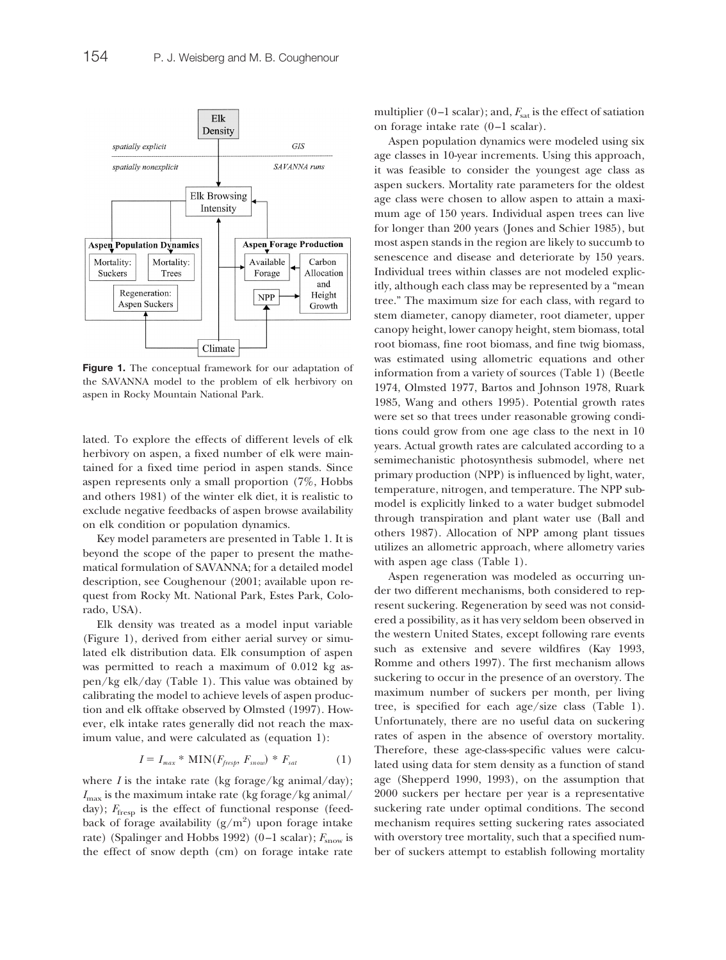

lated. To explore the effects of different levels of elk herbivory on aspen, a fixed number of elk were maintained for a fixed time period in aspen stands. Since aspen represents only a small proportion (7%, Hobbs and others 1981) of the winter elk diet, it is realistic to exclude negative feedbacks of aspen browse availability on elk condition or population dynamics.

Key model parameters are presented in Table 1. It is beyond the scope of the paper to present the mathematical formulation of SAVANNA; for a detailed model description, see Coughenour (2001; available upon request from Rocky Mt. National Park, Estes Park, Colorado, USA).

Elk density was treated as a model input variable (Figure 1), derived from either aerial survey or simulated elk distribution data. Elk consumption of aspen was permitted to reach a maximum of 0.012 kg aspen/kg elk/day (Table 1). This value was obtained by calibrating the model to achieve levels of aspen production and elk offtake observed by Olmsted (1997). However, elk intake rates generally did not reach the maximum value, and were calculated as (equation 1):

$$
I = I_{max} * MIN(F_{\text{free}}, F_{\text{snow}}) * F_{\text{sat}} \tag{1}
$$

where  $I$  is the intake rate (kg forage/kg animal/day);  $I_{\text{max}}$  is the maximum intake rate (kg forage/kg animal/ day);  $F_{\text{fresp}}$  is the effect of functional response (feedback of forage availability  $(g/m^2)$  upon forage intake rate) (Spalinger and Hobbs 1992) (0–1 scalar);  $F_{\text{snow}}$  is the effect of snow depth (cm) on forage intake rate

multiplier  $(0-1)$  scalar); and,  $F_{\text{sat}}$  is the effect of satiation on forage intake rate (0–1 scalar).

Aspen population dynamics were modeled using six age classes in 10-year increments. Using this approach, it was feasible to consider the youngest age class as aspen suckers. Mortality rate parameters for the oldest age class were chosen to allow aspen to attain a maximum age of 150 years. Individual aspen trees can live for longer than 200 years (Jones and Schier 1985), but most aspen stands in the region are likely to succumb to senescence and disease and deteriorate by 150 years. Individual trees within classes are not modeled explicitly, although each class may be represented by a "mean tree." The maximum size for each class, with regard to stem diameter, canopy diameter, root diameter, upper canopy height, lower canopy height, stem biomass, total root biomass, fine root biomass, and fine twig biomass, was estimated using allometric equations and other information from a variety of sources (Table 1) (Beetle 1974, Olmsted 1977, Bartos and Johnson 1978, Ruark 1985, Wang and others 1995). Potential growth rates were set so that trees under reasonable growing conditions could grow from one age class to the next in 10 years. Actual growth rates are calculated according to a semimechanistic photosynthesis submodel, where net primary production (NPP) is influenced by light, water, temperature, nitrogen, and temperature. The NPP submodel is explicitly linked to a water budget submodel through transpiration and plant water use (Ball and others 1987). Allocation of NPP among plant tissues utilizes an allometric approach, where allometry varies with aspen age class (Table 1).

Aspen regeneration was modeled as occurring under two different mechanisms, both considered to represent suckering. Regeneration by seed was not considered a possibility, as it has very seldom been observed in the western United States, except following rare events such as extensive and severe wildfires (Kay 1993, Romme and others 1997). The first mechanism allows suckering to occur in the presence of an overstory. The maximum number of suckers per month, per living tree, is specified for each age/size class (Table 1). Unfortunately, there are no useful data on suckering rates of aspen in the absence of overstory mortality. Therefore, these age-class-specific values were calculated using data for stem density as a function of stand age (Shepperd 1990, 1993), on the assumption that 2000 suckers per hectare per year is a representative suckering rate under optimal conditions. The second mechanism requires setting suckering rates associated with overstory tree mortality, such that a specified number of suckers attempt to establish following mortality

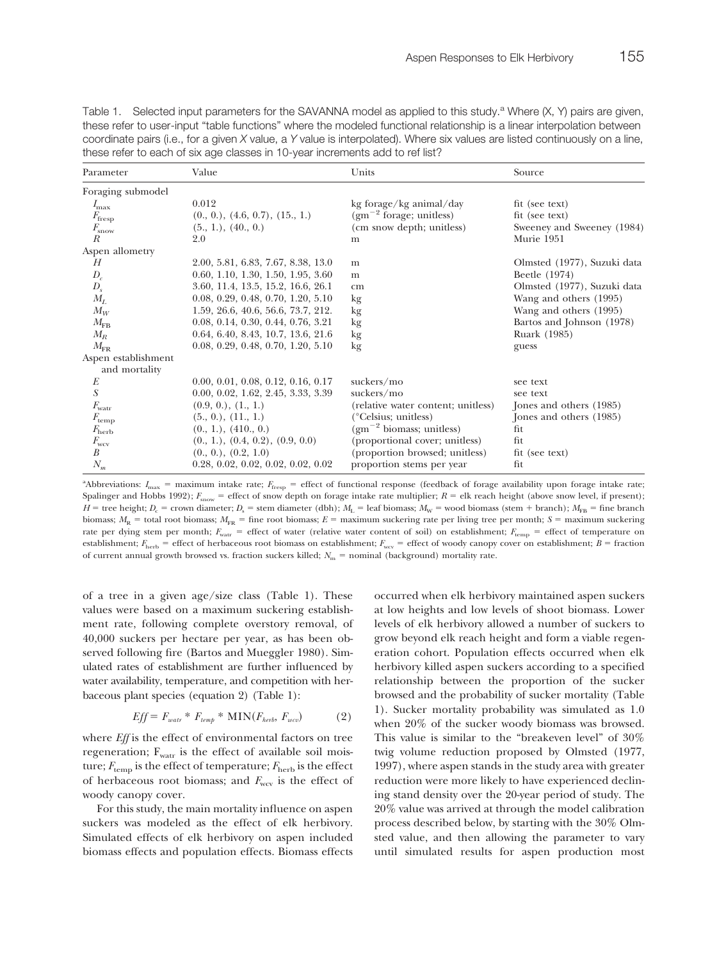| a lood Tolor to back for only ago classed in Toryour information and to Torliot. |                                    |                                    |                             |  |
|----------------------------------------------------------------------------------|------------------------------------|------------------------------------|-----------------------------|--|
| Parameter                                                                        | Value                              | Units                              | Source                      |  |
| Foraging submodel                                                                |                                    |                                    |                             |  |
| $I_{\rm max}$                                                                    | 0.012                              | kg forage/kg animal/day            | fit (see text)              |  |
| $F_{\text{free}}$                                                                | (0., 0.), (4.6, 0.7), (15., 1.)    | $(gm^{-2}$ forage; unitless)       | fit (see text)              |  |
| $F_{\rm snow}$                                                                   | $(5., 1.)$ , $(40., 0.)$           | (cm snow depth; unitless)          | Sweeney and Sweeney (1984)  |  |
| R                                                                                | 2.0                                | m                                  | Murie 1951                  |  |
| Aspen allometry                                                                  |                                    |                                    |                             |  |
| Н                                                                                | 2.00, 5.81, 6.83, 7.67, 8.38, 13.0 | m                                  | Olmsted (1977), Suzuki data |  |
| $D_c$                                                                            | 0.60, 1.10, 1.30, 1.50, 1.95, 3.60 | m                                  | Beetle (1974)               |  |
| $D_{s}$                                                                          | 3.60, 11.4, 13.5, 15.2, 16.6, 26.1 | cm                                 | Olmsted (1977), Suzuki data |  |
| $M_L$                                                                            | 0.08, 0.29, 0.48, 0.70, 1.20, 5.10 | kg                                 | Wang and others (1995)      |  |
| $M_W$                                                                            | 1.59, 26.6, 40.6, 56.6, 73.7, 212. | kg                                 | Wang and others (1995)      |  |
| $M_{\rm FB}$                                                                     | 0.08, 0.14, 0.30, 0.44, 0.76, 3.21 | kg                                 | Bartos and Johnson (1978)   |  |
| $M_R$                                                                            | 0.64, 6.40, 8.43, 10.7, 13.6, 21.6 | kg                                 | Ruark (1985)                |  |
| $M_{\rm FR}$                                                                     | 0.08, 0.29, 0.48, 0.70, 1.20, 5.10 | kg                                 | guess                       |  |
| Aspen establishment                                                              |                                    |                                    |                             |  |
| and mortality                                                                    |                                    |                                    |                             |  |
| E                                                                                | 0.00, 0.01, 0.08, 0.12, 0.16, 0.17 | suckers/mo                         | see text                    |  |
| S                                                                                | 0.00, 0.02, 1.62, 2.45, 3.33, 3.39 | suckers/mo                         | see text                    |  |
| $F_{\text{water}}$                                                               | (0.9, 0.), (1., 1.)                | (relative water content; unitless) | Jones and others (1985)     |  |
| $F_{\rm temp}$                                                                   | (5., 0.), (11., 1.)                | (°Celsius; unitless)               | Jones and others (1985)     |  |
| $F_{\rm{herb}}$                                                                  | (0., 1.), (410., 0.)               | $(gm^{-2}$ biomass; unitless)      | fit                         |  |
| $F_{\rm wcv}$                                                                    | (0., 1.), (0.4, 0.2), (0.9, 0.0)   | (proportional cover; unitless)     | fit                         |  |
| $\boldsymbol{B}$                                                                 | $(0., 0.)$ , $(0.2, 1.0)$          | (proportion browsed; unitless)     | fit (see text)              |  |
| $N_{m}$                                                                          | 0.28, 0.02, 0.02, 0.02, 0.02, 0.02 | proportion stems per year          | fit                         |  |

Table 1. Selected input parameters for the SAVANNA model as applied to this study.<sup>a</sup> Where (X, Y) pairs are given, these refer to user-input "table functions" where the modeled functional relationship is a linear interpolation between coordinate pairs (i.e., for a given *X* value, a *Y* value is interpolated). Where six values are listed continuously on a line, these refer to each of six age classes in 10-year increments add to ref list?

<sup>a</sup>Abbreviations: *I*<sub>max</sub> = maximum intake rate; *F*<sub>fresp</sub> = effect of functional response (feedback of forage availability upon forage intake rate; Spalinger and Hobbs 1992);  $F_{\text{snow}}$  = effect of snow depth on forage intake rate multiplier;  $R$  = elk reach height (above snow level, if present); *H* = tree height; *D<sub>c</sub>* = crown diameter; *D<sub>s</sub>* = stem diameter (dbh); *M<sub>L</sub>* = leaf biomass; *M<sub>W</sub>* = wood biomass (stem + branch); *M<sub>FB</sub>* = fine branch biomass;  $M_R$  = total root biomass;  $M_{FR}$  = fine root biomass;  $E$  = maximum suckering rate per living tree per month; *S* = maximum suckering rate per dying stem per month;  $F_{\text{war}}$  = effect of water (relative water content of soil) on establishment;  $F_{\text{temp}}$  = effect of temperature on establishment;  $F_{\text{herb}}$  = effect of herbaceous root biomass on establishment;  $F_{\text{wcv}}$  = effect of woody canopy cover on establishment;  $B$  = fraction of current annual growth browsed vs. fraction suckers killed;  $N_m$  = nominal (background) mortality rate.

of a tree in a given age/size class (Table 1). These values were based on a maximum suckering establishment rate, following complete overstory removal, of 40,000 suckers per hectare per year, as has been observed following fire (Bartos and Mueggler 1980). Simulated rates of establishment are further influenced by water availability, temperature, and competition with herbaceous plant species (equation 2) (Table 1):

$$
Eff = F_{watr} * F_{temp} * MIN(F_{herb}, F_{wcv})
$$
 (2)

where *Eff* is the effect of environmental factors on tree regeneration;  $F_{\text{watr}}$  is the effect of available soil moisture;  $F_{\text{temp}}$  is the effect of temperature;  $F_{\text{herb}}$  is the effect of herbaceous root biomass; and  $F_{\text{wcv}}$  is the effect of woody canopy cover.

For this study, the main mortality influence on aspen suckers was modeled as the effect of elk herbivory. Simulated effects of elk herbivory on aspen included biomass effects and population effects. Biomass effects occurred when elk herbivory maintained aspen suckers at low heights and low levels of shoot biomass. Lower levels of elk herbivory allowed a number of suckers to grow beyond elk reach height and form a viable regeneration cohort. Population effects occurred when elk herbivory killed aspen suckers according to a specified relationship between the proportion of the sucker browsed and the probability of sucker mortality (Table 1). Sucker mortality probability was simulated as 1.0 when 20% of the sucker woody biomass was browsed. This value is similar to the "breakeven level" of 30% twig volume reduction proposed by Olmsted (1977, 1997), where aspen stands in the study area with greater reduction were more likely to have experienced declining stand density over the 20-year period of study. The 20% value was arrived at through the model calibration process described below, by starting with the 30% Olmsted value, and then allowing the parameter to vary until simulated results for aspen production most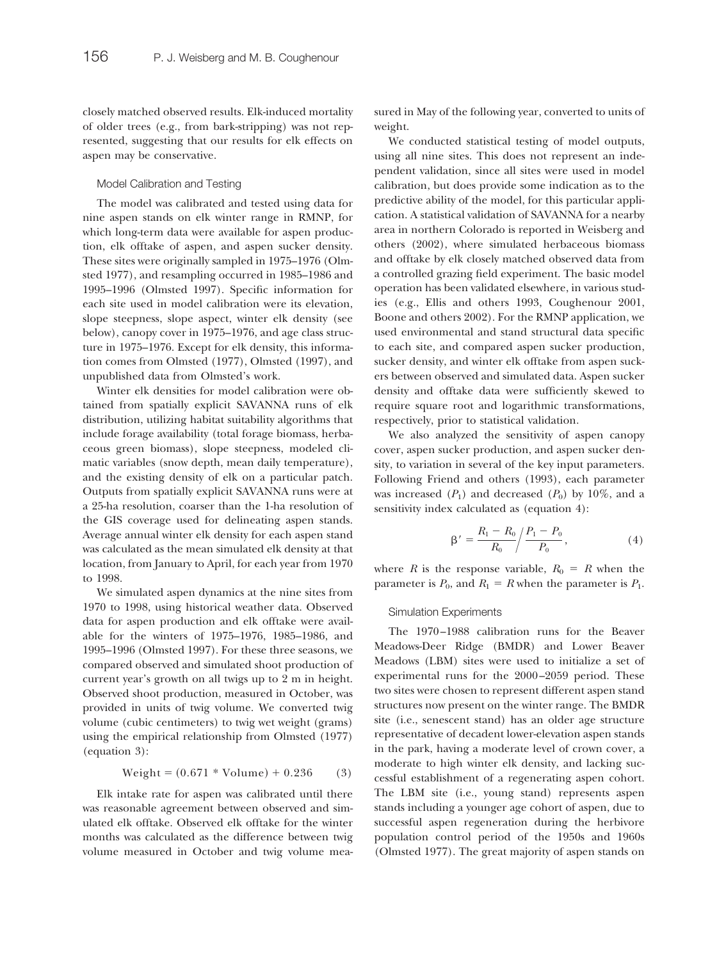closely matched observed results. Elk-induced mortality of older trees (e.g., from bark-stripping) was not represented, suggesting that our results for elk effects on aspen may be conservative.

#### Model Calibration and Testing

The model was calibrated and tested using data for nine aspen stands on elk winter range in RMNP, for which long-term data were available for aspen production, elk offtake of aspen, and aspen sucker density. These sites were originally sampled in 1975–1976 (Olmsted 1977), and resampling occurred in 1985–1986 and 1995–1996 (Olmsted 1997). Specific information for each site used in model calibration were its elevation, slope steepness, slope aspect, winter elk density (see below), canopy cover in 1975–1976, and age class structure in 1975–1976. Except for elk density, this information comes from Olmsted (1977), Olmsted (1997), and unpublished data from Olmsted's work.

Winter elk densities for model calibration were obtained from spatially explicit SAVANNA runs of elk distribution, utilizing habitat suitability algorithms that include forage availability (total forage biomass, herbaceous green biomass), slope steepness, modeled climatic variables (snow depth, mean daily temperature), and the existing density of elk on a particular patch. Outputs from spatially explicit SAVANNA runs were at a 25-ha resolution, coarser than the 1-ha resolution of the GIS coverage used for delineating aspen stands. Average annual winter elk density for each aspen stand was calculated as the mean simulated elk density at that location, from January to April, for each year from 1970 to 1998.

We simulated aspen dynamics at the nine sites from 1970 to 1998, using historical weather data. Observed data for aspen production and elk offtake were available for the winters of 1975–1976, 1985–1986, and 1995–1996 (Olmsted 1997). For these three seasons, we compared observed and simulated shoot production of current year's growth on all twigs up to 2 m in height. Observed shoot production, measured in October, was provided in units of twig volume. We converted twig volume (cubic centimeters) to twig wet weight (grams) using the empirical relationship from Olmsted (1977) (equation 3):

$$
Weight = (0.671 * Volume) + 0.236
$$
 (3)

Elk intake rate for aspen was calibrated until there was reasonable agreement between observed and simulated elk offtake. Observed elk offtake for the winter months was calculated as the difference between twig volume measured in October and twig volume measured in May of the following year, converted to units of weight.

We conducted statistical testing of model outputs, using all nine sites. This does not represent an independent validation, since all sites were used in model calibration, but does provide some indication as to the predictive ability of the model, for this particular application. A statistical validation of SAVANNA for a nearby area in northern Colorado is reported in Weisberg and others (2002), where simulated herbaceous biomass and offtake by elk closely matched observed data from a controlled grazing field experiment. The basic model operation has been validated elsewhere, in various studies (e.g., Ellis and others 1993, Coughenour 2001, Boone and others 2002). For the RMNP application, we used environmental and stand structural data specific to each site, and compared aspen sucker production, sucker density, and winter elk offtake from aspen suckers between observed and simulated data. Aspen sucker density and offtake data were sufficiently skewed to require square root and logarithmic transformations, respectively, prior to statistical validation.

We also analyzed the sensitivity of aspen canopy cover, aspen sucker production, and aspen sucker density, to variation in several of the key input parameters. Following Friend and others (1993), each parameter was increased  $(P_1)$  and decreased  $(P_0)$  by 10%, and a sensitivity index calculated as (equation 4):

$$
\beta' = \frac{R_1 - R_0}{R_0} / \frac{P_1 - P_0}{P_0},\tag{4}
$$

where *R* is the response variable,  $R_0 = R$  when the parameter is  $P_0$ , and  $R_1 = R$  when the parameter is  $P_1$ .

#### Simulation Experiments

The 1970–1988 calibration runs for the Beaver Meadows-Deer Ridge (BMDR) and Lower Beaver Meadows (LBM) sites were used to initialize a set of experimental runs for the 2000–2059 period. These two sites were chosen to represent different aspen stand structures now present on the winter range. The BMDR site (i.e., senescent stand) has an older age structure representative of decadent lower-elevation aspen stands in the park, having a moderate level of crown cover, a moderate to high winter elk density, and lacking successful establishment of a regenerating aspen cohort. The LBM site (i.e., young stand) represents aspen stands including a younger age cohort of aspen, due to successful aspen regeneration during the herbivore population control period of the 1950s and 1960s (Olmsted 1977). The great majority of aspen stands on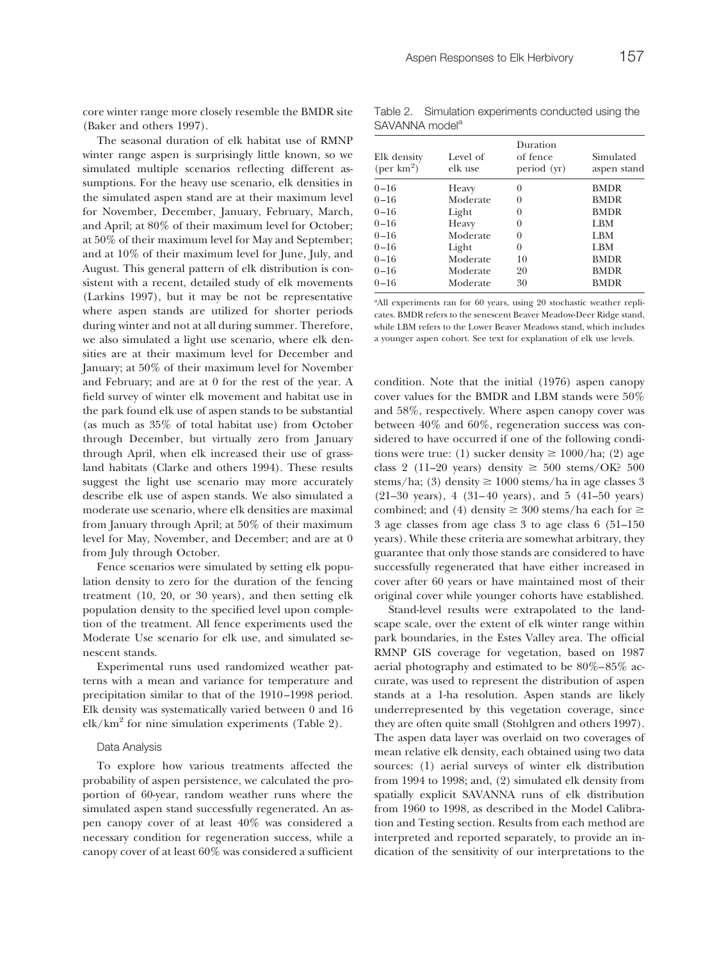core winter range more closely resemble the BMDR site (Baker and others 1997).

The seasonal duration of elk habitat use of RMNP winter range aspen is surprisingly little known, so we simulated multiple scenarios reflecting different assumptions. For the heavy use scenario, elk densities in the simulated aspen stand are at their maximum level for November, December, January, February, March, and April; at 80% of their maximum level for October; at 50% of their maximum level for May and September; and at 10% of their maximum level for June, July, and August. This general pattern of elk distribution is consistent with a recent, detailed study of elk movements (Larkins 1997), but it may be not be representative where aspen stands are utilized for shorter periods during winter and not at all during summer. Therefore, we also simulated a light use scenario, where elk densities are at their maximum level for December and January; at 50% of their maximum level for November and February; and are at 0 for the rest of the year. A field survey of winter elk movement and habitat use in the park found elk use of aspen stands to be substantial (as much as 35% of total habitat use) from October through December, but virtually zero from January through April, when elk increased their use of grassland habitats (Clarke and others 1994). These results suggest the light use scenario may more accurately describe elk use of aspen stands. We also simulated a moderate use scenario, where elk densities are maximal from January through April; at 50% of their maximum level for May, November, and December; and are at 0 from July through October.

Fence scenarios were simulated by setting elk population density to zero for the duration of the fencing treatment (10, 20, or 30 years), and then setting elk population density to the specified level upon completion of the treatment. All fence experiments used the Moderate Use scenario for elk use, and simulated senescent stands.

Experimental runs used randomized weather patterns with a mean and variance for temperature and precipitation similar to that of the 1910–1998 period. Elk density was systematically varied between 0 and 16  $elk/km<sup>2</sup>$  for nine simulation experiments (Table 2).

#### Data Analysis

To explore how various treatments affected the probability of aspen persistence, we calculated the proportion of 60-year, random weather runs where the simulated aspen stand successfully regenerated. An aspen canopy cover of at least 40% was considered a necessary condition for regeneration success, while a canopy cover of at least 60% was considered a sufficient

Table 2. Simulation experiments conducted using the SAVANNA model<sup>a</sup>

| Elk density<br>$(\text{per km}^2)$ | Level of<br>elk use | Duration<br>of fence<br>period (yr) | Simulated<br>aspen stand |
|------------------------------------|---------------------|-------------------------------------|--------------------------|
|                                    |                     |                                     |                          |
| $0 - 16$                           | Heavy               | $\theta$                            | <b>BMDR</b>              |
| $0 - 16$                           | Moderate            | $\theta$                            | <b>BMDR</b>              |
| $0 - 16$                           | Light               | 0                                   | <b>BMDR</b>              |
| $0 - 16$                           | Heavy               | 0                                   | <b>LBM</b>               |
| $0 - 16$                           | Moderate            | 0                                   | LBM                      |
| $_{0-16}$                          | Light               | 0                                   | LBM                      |
| $0 - 16$                           | Moderate            | 10                                  | <b>BMDR</b>              |
| $_{0-16}$                          | Moderate            | 20                                  | <b>BMDR</b>              |
| $_{0-16}$                          | Moderate            | 30                                  | <b>BMDR</b>              |
|                                    |                     |                                     |                          |

<sup>a</sup>All experiments ran for 60 years, using 20 stochastic weather replicates. BMDR refers to the senescent Beaver Meadow-Deer Ridge stand, while LBM refers to the Lower Beaver Meadows stand, which includes a younger aspen cohort. See text for explanation of elk use levels.

condition. Note that the initial (1976) aspen canopy cover values for the BMDR and LBM stands were 50% and 58%, respectively. Where aspen canopy cover was between 40% and 60%, regeneration success was considered to have occurred if one of the following conditions were true: (1) sucker density  $\geq 1000/ha$ ; (2) age class 2 (11–20 years) density  $\geq$  500 stems/OK? 500 stems/ha; (3) density  $\geq 1000$  stems/ha in age classes 3 (21–30 years), 4 (31–40 years), and 5 (41–50 years) combined; and (4) density  $\geq$  300 stems/ha each for  $\geq$ 3 age classes from age class 3 to age class 6 (51–150 years). While these criteria are somewhat arbitrary, they guarantee that only those stands are considered to have successfully regenerated that have either increased in cover after 60 years or have maintained most of their original cover while younger cohorts have established.

Stand-level results were extrapolated to the landscape scale, over the extent of elk winter range within park boundaries, in the Estes Valley area. The official RMNP GIS coverage for vegetation, based on 1987 aerial photography and estimated to be 80%–85% accurate, was used to represent the distribution of aspen stands at a 1-ha resolution. Aspen stands are likely underrepresented by this vegetation coverage, since they are often quite small (Stohlgren and others 1997). The aspen data layer was overlaid on two coverages of mean relative elk density, each obtained using two data sources: (1) aerial surveys of winter elk distribution from 1994 to 1998; and, (2) simulated elk density from spatially explicit SAVANNA runs of elk distribution from 1960 to 1998, as described in the Model Calibration and Testing section. Results from each method are interpreted and reported separately, to provide an indication of the sensitivity of our interpretations to the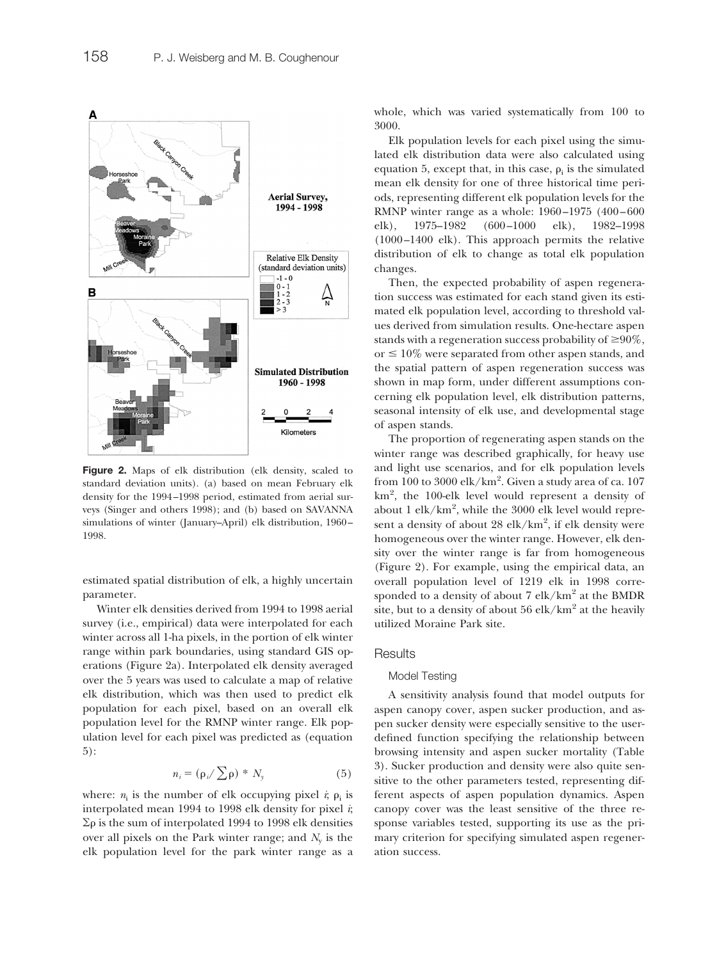

**Figure 2.** Maps of elk distribution (elk density, scaled to standard deviation units). (a) based on mean February elk density for the 1994–1998 period, estimated from aerial surveys (Singer and others 1998); and (b) based on SAVANNA simulations of winter (January–April) elk distribution, 1960– 1998.

estimated spatial distribution of elk, a highly uncertain parameter.

Winter elk densities derived from 1994 to 1998 aerial survey (i.e., empirical) data were interpolated for each winter across all 1-ha pixels, in the portion of elk winter range within park boundaries, using standard GIS operations (Figure 2a). Interpolated elk density averaged over the 5 years was used to calculate a map of relative elk distribution, which was then used to predict elk population for each pixel, based on an overall elk population level for the RMNP winter range. Elk population level for each pixel was predicted as (equation 5):

$$
n_i = (\rho_i / \sum \rho)^* N_y \tag{5}
$$

where:  $n_i$  is the number of elk occupying pixel  $i$ ;  $p_i$  is interpolated mean 1994 to 1998 elk density for pixel *i*;  $\Sigma \rho$  is the sum of interpolated 1994 to 1998 elk densities over all pixels on the Park winter range; and  $N_v$  is the elk population level for the park winter range as a whole, which was varied systematically from 100 to 3000.

Elk population levels for each pixel using the simulated elk distribution data were also calculated using equation 5, except that, in this case,  $\rho_i$  is the simulated mean elk density for one of three historical time periods, representing different elk population levels for the RMNP winter range as a whole: 1960–1975 (400–600 elk), 1975–1982 (600–1000 elk), 1982–1998 (1000–1400 elk). This approach permits the relative distribution of elk to change as total elk population changes.

Then, the expected probability of aspen regeneration success was estimated for each stand given its estimated elk population level, according to threshold values derived from simulation results. One-hectare aspen stands with a regeneration success probability of  $\geq 90\%$ , or  $\leq 10\%$  were separated from other aspen stands, and the spatial pattern of aspen regeneration success was shown in map form, under different assumptions concerning elk population level, elk distribution patterns, seasonal intensity of elk use, and developmental stage of aspen stands.

The proportion of regenerating aspen stands on the winter range was described graphically, for heavy use and light use scenarios, and for elk population levels from  $100$  to  $3000$  elk/km $^2$ . Given a study area of ca.  $107\,$ km2 , the 100-elk level would represent a density of about 1 elk/km<sup>2</sup>, while the 3000 elk level would represent a density of about 28 elk/km<sup>2</sup>, if elk density were homogeneous over the winter range. However, elk density over the winter range is far from homogeneous (Figure 2). For example, using the empirical data, an overall population level of 1219 elk in 1998 corresponded to a density of about 7 elk/km<sup>2</sup> at the BMDR site, but to a density of about  $56$  elk/km<sup>2</sup> at the heavily utilized Moraine Park site.

#### **Results**

#### Model Testing

A sensitivity analysis found that model outputs for aspen canopy cover, aspen sucker production, and aspen sucker density were especially sensitive to the userdefined function specifying the relationship between browsing intensity and aspen sucker mortality (Table 3). Sucker production and density were also quite sensitive to the other parameters tested, representing different aspects of aspen population dynamics. Aspen canopy cover was the least sensitive of the three response variables tested, supporting its use as the primary criterion for specifying simulated aspen regeneration success.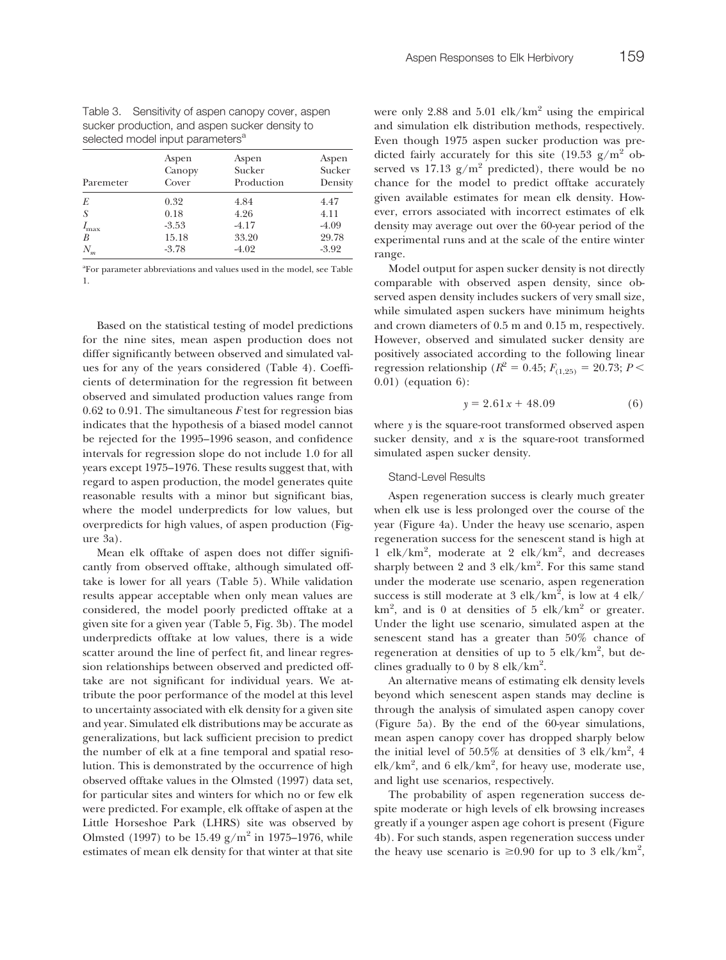Table 3. Sensitivity of aspen canopy cover, aspen sucker production, and aspen sucker density to selected model input parameters<sup>a</sup>

| Paremeter        | Aspen<br>Canopy<br>Cover | Aspen<br>Sucker<br>Production | Aspen<br>Sucker<br>Density |  |
|------------------|--------------------------|-------------------------------|----------------------------|--|
| E                | 0.32                     | 4.84                          | 4.47                       |  |
| -S               | 0.18                     | 4.26                          | 4.11                       |  |
| $I_{\text{max}}$ | $-3.53$                  | $-4.17$                       | $-4.09$                    |  |
| B                | 15.18                    | 33.20                         | 29.78                      |  |
| $N_m$            | $-3.78$                  | $-4.02$                       | $-3.92$                    |  |

a For parameter abbreviations and values used in the model, see Table 1.

Based on the statistical testing of model predictions for the nine sites, mean aspen production does not differ significantly between observed and simulated values for any of the years considered (Table 4). Coefficients of determination for the regression fit between observed and simulated production values range from 0.62 to 0.91. The simultaneous *F* test for regression bias indicates that the hypothesis of a biased model cannot be rejected for the 1995–1996 season, and confidence intervals for regression slope do not include 1.0 for all years except 1975–1976. These results suggest that, with regard to aspen production, the model generates quite reasonable results with a minor but significant bias, where the model underpredicts for low values, but overpredicts for high values, of aspen production (Figure 3a).

Mean elk offtake of aspen does not differ significantly from observed offtake, although simulated offtake is lower for all years (Table 5). While validation results appear acceptable when only mean values are considered, the model poorly predicted offtake at a given site for a given year (Table 5, Fig. 3b). The model underpredicts offtake at low values, there is a wide scatter around the line of perfect fit, and linear regression relationships between observed and predicted offtake are not significant for individual years. We attribute the poor performance of the model at this level to uncertainty associated with elk density for a given site and year. Simulated elk distributions may be accurate as generalizations, but lack sufficient precision to predict the number of elk at a fine temporal and spatial resolution. This is demonstrated by the occurrence of high observed offtake values in the Olmsted (1997) data set, for particular sites and winters for which no or few elk were predicted. For example, elk offtake of aspen at the Little Horseshoe Park (LHRS) site was observed by Olmsted (1997) to be  $15.49 \text{ g/m}^2$  in 1975–1976, while estimates of mean elk density for that winter at that site

were only 2.88 and  $5.01$  elk/km<sup>2</sup> using the empirical and simulation elk distribution methods, respectively. Even though 1975 aspen sucker production was predicted fairly accurately for this site  $(19.53 \text{ g/m}^2 \text{ ob-}$ served vs 17.13  $g/m^2$  predicted), there would be no chance for the model to predict offtake accurately given available estimates for mean elk density. However, errors associated with incorrect estimates of elk density may average out over the 60-year period of the experimental runs and at the scale of the entire winter range.

Model output for aspen sucker density is not directly comparable with observed aspen density, since observed aspen density includes suckers of very small size, while simulated aspen suckers have minimum heights and crown diameters of 0.5 m and 0.15 m, respectively. However, observed and simulated sucker density are positively associated according to the following linear regression relationship ( $R^2 = 0.45; F_{(1,25)} = 20.73; P <$ 0.01) (equation 6):

$$
y = 2.61x + 48.09\tag{6}
$$

where *y* is the square-root transformed observed aspen sucker density, and  $x$  is the square-root transformed simulated aspen sucker density.

#### Stand-Level Results

Aspen regeneration success is clearly much greater when elk use is less prolonged over the course of the year (Figure 4a). Under the heavy use scenario, aspen regeneration success for the senescent stand is high at 1 elk/km<sup>2</sup> , moderate at 2 elk/km2 , and decreases sharply between 2 and 3 elk/km<sup>2</sup>. For this same stand under the moderate use scenario, aspen regeneration success is still moderate at 3  $\text{elk}/\text{km}^2$ , is low at 4  $\text{elk}/$  $km^2$ , and is 0 at densities of 5 elk/km<sup>2</sup> or greater. Under the light use scenario, simulated aspen at the senescent stand has a greater than 50% chance of regeneration at densities of up to 5 elk/km<sup>2</sup>, but declines gradually to 0 by 8 elk/ $km^2$ .

An alternative means of estimating elk density levels beyond which senescent aspen stands may decline is through the analysis of simulated aspen canopy cover (Figure 5a). By the end of the 60-year simulations, mean aspen canopy cover has dropped sharply below the initial level of  $50.5\%$  at densities of 3 elk/km<sup>2</sup>, 4  $elk/km^2$ , and 6  $elk/km^2$ , for heavy use, moderate use, and light use scenarios, respectively.

The probability of aspen regeneration success despite moderate or high levels of elk browsing increases greatly if a younger aspen age cohort is present (Figure 4b). For such stands, aspen regeneration success under the heavy use scenario is  $\geq 0.90$  for up to 3 elk/km<sup>2</sup>,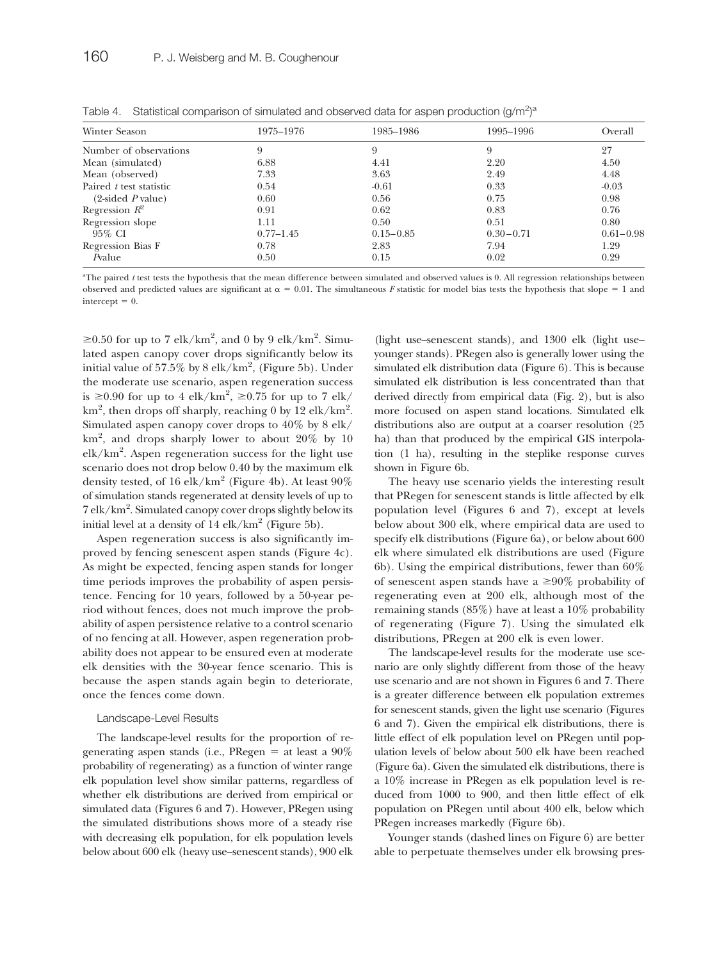| Winter Season                       | 1975–1976     | 1985–1986     | 1995–1996     | Overall       |
|-------------------------------------|---------------|---------------|---------------|---------------|
| Number of observations              | 9             | 9             | 9             | 27            |
| Mean (simulated)                    | 6.88          | 4.41          | 2.20          | 4.50          |
| Mean (observed)                     | 7.33          | 3.63          | 2.49          | 4.48          |
| Paired <i>t</i> test statistic      | 0.54          | $-0.61$       | 0.33          | $-0.03$       |
| $(2\text{-sided } P \text{ value})$ | 0.60          | 0.56          | 0.75          | 0.98          |
| Regression $R^2$                    | 0.91          | 0.62          | 0.83          | 0.76          |
| Regression slope                    | 1.11          | 0.50          | 0.51          | 0.80          |
| 95% CI                              | $0.77 - 1.45$ | $0.15 - 0.85$ | $0.30 - 0.71$ | $0.61 - 0.98$ |
| Regression Bias F                   | 0.78          | 2.83          | 7.94          | 1.29          |
| Pvalue                              | 0.50          | 0.15          | 0.02          | 0.29          |

Table 4. Statistical comparison of simulated and observed data for aspen production  $(g/m^2)^a$ 

<sup>a</sup>The paired *t* test tests the hypothesis that the mean difference between simulated and observed values is 0. All regression relationships between observed and predicted values are significant at  $\alpha = 0.01$ . The simultaneous *F* statistic for model bias tests the hypothesis that slope = 1 and  $intercept = 0.$ 

≥0.50 for up to 7 elk/km<sup>2</sup>, and 0 by 9 elk/km<sup>2</sup>. Simulated aspen canopy cover drops significantly below its initial value of  $57.5\%$  by  $8$  elk/km $^2$ , (Figure  $5$ b). Under the moderate use scenario, aspen regeneration success is  $\geq 0.90$  for up to 4 elk/km<sup>2</sup>,  $\geq 0.75$  for up to 7 elk/  $km^2$ , then drops off sharply, reaching 0 by 12 elk/km<sup>2</sup>. Simulated aspen canopy cover drops to 40% by 8 elk/ km2 , and drops sharply lower to about 20% by 10 elk/km2 . Aspen regeneration success for the light use scenario does not drop below 0.40 by the maximum elk density tested, of 16 elk/km<sup>2</sup> (Figure 4b). At least  $90\%$ of simulation stands regenerated at density levels of up to 7 elk/km<sup>2</sup>. Simulated canopy cover drops slightly below its initial level at a density of  $14$  elk/km<sup>2</sup> (Figure 5b).

Aspen regeneration success is also significantly improved by fencing senescent aspen stands (Figure 4c). As might be expected, fencing aspen stands for longer time periods improves the probability of aspen persistence. Fencing for 10 years, followed by a 50-year period without fences, does not much improve the probability of aspen persistence relative to a control scenario of no fencing at all. However, aspen regeneration probability does not appear to be ensured even at moderate elk densities with the 30-year fence scenario. This is because the aspen stands again begin to deteriorate, once the fences come down.

#### Landscape-Level Results

The landscape-level results for the proportion of regenerating aspen stands (i.e., PRegen  $=$  at least a 90% probability of regenerating) as a function of winter range elk population level show similar patterns, regardless of whether elk distributions are derived from empirical or simulated data (Figures 6 and 7). However, PRegen using the simulated distributions shows more of a steady rise with decreasing elk population, for elk population levels below about 600 elk (heavy use–senescent stands), 900 elk (light use–senescent stands), and 1300 elk (light use– younger stands). PRegen also is generally lower using the simulated elk distribution data (Figure 6). This is because simulated elk distribution is less concentrated than that derived directly from empirical data (Fig. 2), but is also more focused on aspen stand locations. Simulated elk distributions also are output at a coarser resolution (25 ha) than that produced by the empirical GIS interpolation (1 ha), resulting in the steplike response curves shown in Figure 6b.

The heavy use scenario yields the interesting result that PRegen for senescent stands is little affected by elk population level (Figures 6 and 7), except at levels below about 300 elk, where empirical data are used to specify elk distributions (Figure 6a), or below about 600 elk where simulated elk distributions are used (Figure 6b). Using the empirical distributions, fewer than  $60\%$ of senescent aspen stands have a  $\geq 90\%$  probability of regenerating even at 200 elk, although most of the remaining stands (85%) have at least a 10% probability of regenerating (Figure 7). Using the simulated elk distributions, PRegen at 200 elk is even lower.

The landscape-level results for the moderate use scenario are only slightly different from those of the heavy use scenario and are not shown in Figures 6 and 7. There is a greater difference between elk population extremes for senescent stands, given the light use scenario (Figures 6 and 7). Given the empirical elk distributions, there is little effect of elk population level on PRegen until population levels of below about 500 elk have been reached (Figure 6a). Given the simulated elk distributions, there is a 10% increase in PRegen as elk population level is reduced from 1000 to 900, and then little effect of elk population on PRegen until about 400 elk, below which PRegen increases markedly (Figure 6b).

Younger stands (dashed lines on Figure 6) are better able to perpetuate themselves under elk browsing pres-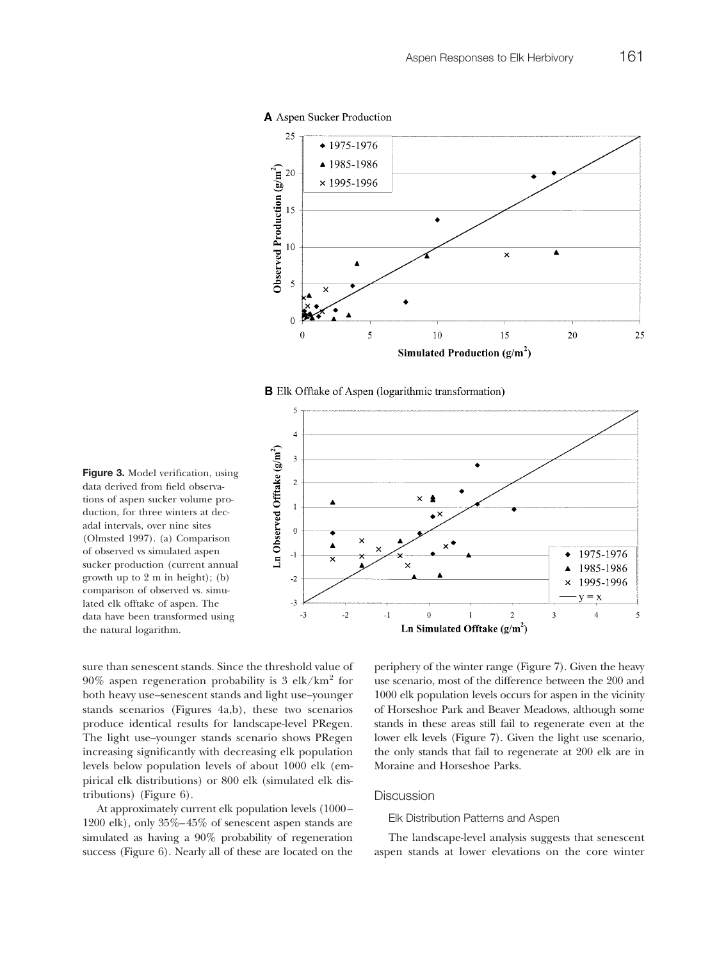#### A Aspen Sucker Production



**B** Elk Offtake of Aspen (logarithmic transformation)



**Figure 3.** Model verification, using data derived from field observations of aspen sucker volume production, for three winters at decadal intervals, over nine sites (Olmsted 1997). (a) Comparison of observed vs simulated aspen sucker production (current annual growth up to 2 m in height); (b) comparison of observed vs. simulated elk offtake of aspen. The data have been transformed using the natural logarithm.

sure than senescent stands. Since the threshold value of  $90\%$  aspen regeneration probability is 3 elk/km<sup>2</sup> for both heavy use–senescent stands and light use–younger stands scenarios (Figures 4a,b), these two scenarios produce identical results for landscape-level PRegen. The light use–younger stands scenario shows PRegen increasing significantly with decreasing elk population levels below population levels of about 1000 elk (empirical elk distributions) or 800 elk (simulated elk distributions) (Figure 6).

At approximately current elk population levels (1000– 1200 elk), only 35%–45% of senescent aspen stands are simulated as having a 90% probability of regeneration success (Figure 6). Nearly all of these are located on the periphery of the winter range (Figure 7). Given the heavy use scenario, most of the difference between the 200 and 1000 elk population levels occurs for aspen in the vicinity of Horseshoe Park and Beaver Meadows, although some stands in these areas still fail to regenerate even at the lower elk levels (Figure 7). Given the light use scenario, the only stands that fail to regenerate at 200 elk are in Moraine and Horseshoe Parks.

#### **Discussion**

#### Elk Distribution Patterns and Aspen

The landscape-level analysis suggests that senescent aspen stands at lower elevations on the core winter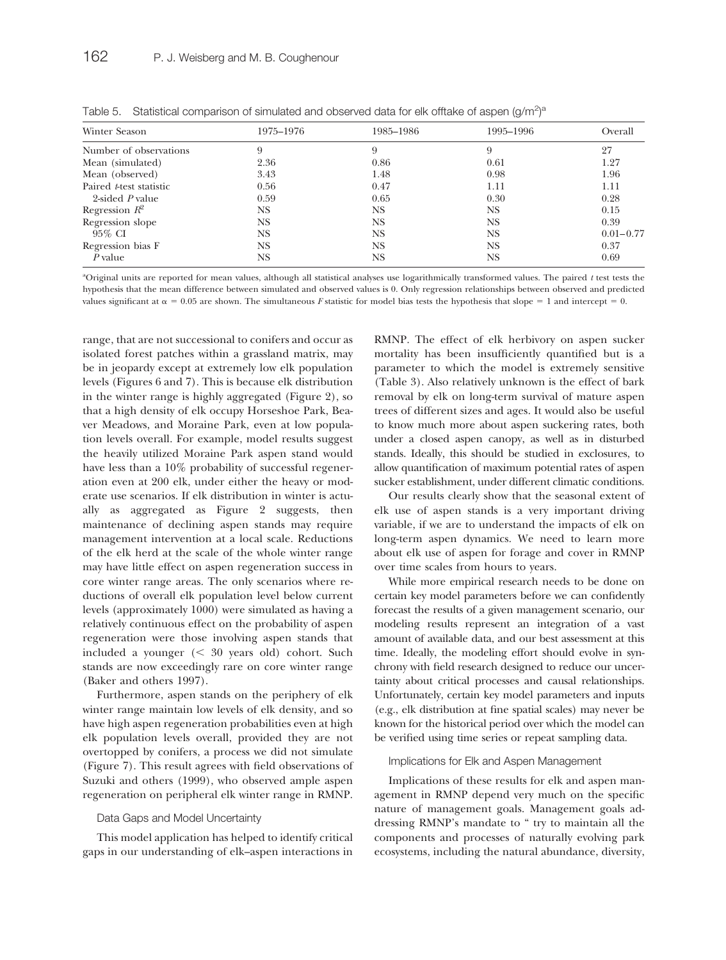| Winter Season                   | 1975-1976 | 1985–1986 | 1995–1996 | Overall       |
|---------------------------------|-----------|-----------|-----------|---------------|
| Number of observations          | 9         | 9         | 9         | 27            |
| Mean (simulated)                | 2.36      | 0.86      | 0.61      | 1.27          |
| Mean (observed)                 | 3.43      | 1.48      | 0.98      | 1.96          |
| Paired <i>t</i> -test statistic | 0.56      | 0.47      | 1.11      | 1.11          |
| 2-sided P value                 | 0.59      | 0.65      | 0.30      | 0.28          |
| Regression $R^2$                | NS        | NS        | NS.       | 0.15          |
| Regression slope                | NS        | NS        | NS.       | 0.39          |
| 95% CI                          | NS        | NS        | NS.       | $0.01 - 0.77$ |
| Regression bias F               | NS        | NS        | NS.       | 0.37          |
| $P$ value                       | NS        | NS        | NS        | 0.69          |

Table 5. Statistical comparison of simulated and observed data for elk offtake of aspen (g/m<sup>2</sup>)<sup>a</sup>

a Original units are reported for mean values, although all statistical analyses use logarithmically transformed values. The paired *t* test tests the hypothesis that the mean difference between simulated and observed values is 0. Only regression relationships between observed and predicted values significant at  $\alpha = 0.05$  are shown. The simultaneous *F* statistic for model bias tests the hypothesis that slope = 1 and intercept = 0.

range, that are not successional to conifers and occur as isolated forest patches within a grassland matrix, may be in jeopardy except at extremely low elk population levels (Figures 6 and 7). This is because elk distribution in the winter range is highly aggregated (Figure 2), so that a high density of elk occupy Horseshoe Park, Beaver Meadows, and Moraine Park, even at low population levels overall. For example, model results suggest the heavily utilized Moraine Park aspen stand would have less than a 10% probability of successful regeneration even at 200 elk, under either the heavy or moderate use scenarios. If elk distribution in winter is actually as aggregated as Figure 2 suggests, then maintenance of declining aspen stands may require management intervention at a local scale. Reductions of the elk herd at the scale of the whole winter range may have little effect on aspen regeneration success in core winter range areas. The only scenarios where reductions of overall elk population level below current levels (approximately 1000) were simulated as having a relatively continuous effect on the probability of aspen regeneration were those involving aspen stands that included a younger ( 30 years old) cohort. Such stands are now exceedingly rare on core winter range (Baker and others 1997).

Furthermore, aspen stands on the periphery of elk winter range maintain low levels of elk density, and so have high aspen regeneration probabilities even at high elk population levels overall, provided they are not overtopped by conifers, a process we did not simulate (Figure 7). This result agrees with field observations of Suzuki and others (1999), who observed ample aspen regeneration on peripheral elk winter range in RMNP.

#### Data Gaps and Model Uncertainty

This model application has helped to identify critical gaps in our understanding of elk–aspen interactions in RMNP. The effect of elk herbivory on aspen sucker mortality has been insufficiently quantified but is a parameter to which the model is extremely sensitive (Table 3). Also relatively unknown is the effect of bark removal by elk on long-term survival of mature aspen trees of different sizes and ages. It would also be useful to know much more about aspen suckering rates, both under a closed aspen canopy, as well as in disturbed stands. Ideally, this should be studied in exclosures, to allow quantification of maximum potential rates of aspen sucker establishment, under different climatic conditions.

Our results clearly show that the seasonal extent of elk use of aspen stands is a very important driving variable, if we are to understand the impacts of elk on long-term aspen dynamics. We need to learn more about elk use of aspen for forage and cover in RMNP over time scales from hours to years.

While more empirical research needs to be done on certain key model parameters before we can confidently forecast the results of a given management scenario, our modeling results represent an integration of a vast amount of available data, and our best assessment at this time. Ideally, the modeling effort should evolve in synchrony with field research designed to reduce our uncertainty about critical processes and causal relationships. Unfortunately, certain key model parameters and inputs (e.g., elk distribution at fine spatial scales) may never be known for the historical period over which the model can be verified using time series or repeat sampling data.

#### Implications for Elk and Aspen Management

Implications of these results for elk and aspen management in RMNP depend very much on the specific nature of management goals. Management goals addressing RMNP's mandate to " try to maintain all the components and processes of naturally evolving park ecosystems, including the natural abundance, diversity,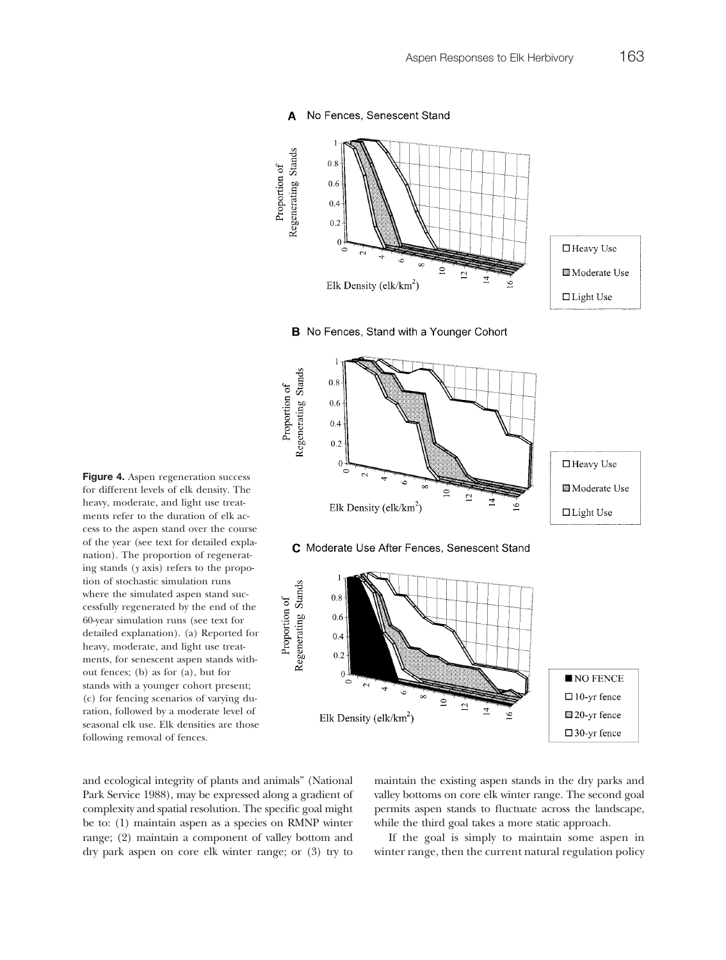

#### No Fences, Senescent Stand A

**Figure 4.** Aspen regeneration success for different levels of elk density. The heavy, moderate, and light use treatments refer to the duration of elk access to the aspen stand over the course of the year (see text for detailed explanation). The proportion of regenerating stands (*y* axis) refers to the propotion of stochastic simulation runs where the simulated aspen stand successfully regenerated by the end of the 60-year simulation runs (see text for detailed explanation). (a) Reported for heavy, moderate, and light use treatments, for senescent aspen stands without fences; (b) as for (a), but for stands with a younger cohort present; (c) for fencing scenarios of varying duration, followed by a moderate level of seasonal elk use. Elk densities are those following removal of fences.

and ecological integrity of plants and animals" (National Park Service 1988), may be expressed along a gradient of complexity and spatial resolution. The specific goal might be to: (1) maintain aspen as a species on RMNP winter range; (2) maintain a component of valley bottom and dry park aspen on core elk winter range; or (3) try to

maintain the existing aspen stands in the dry parks and valley bottoms on core elk winter range. The second goal permits aspen stands to fluctuate across the landscape, while the third goal takes a more static approach.

If the goal is simply to maintain some aspen in winter range, then the current natural regulation policy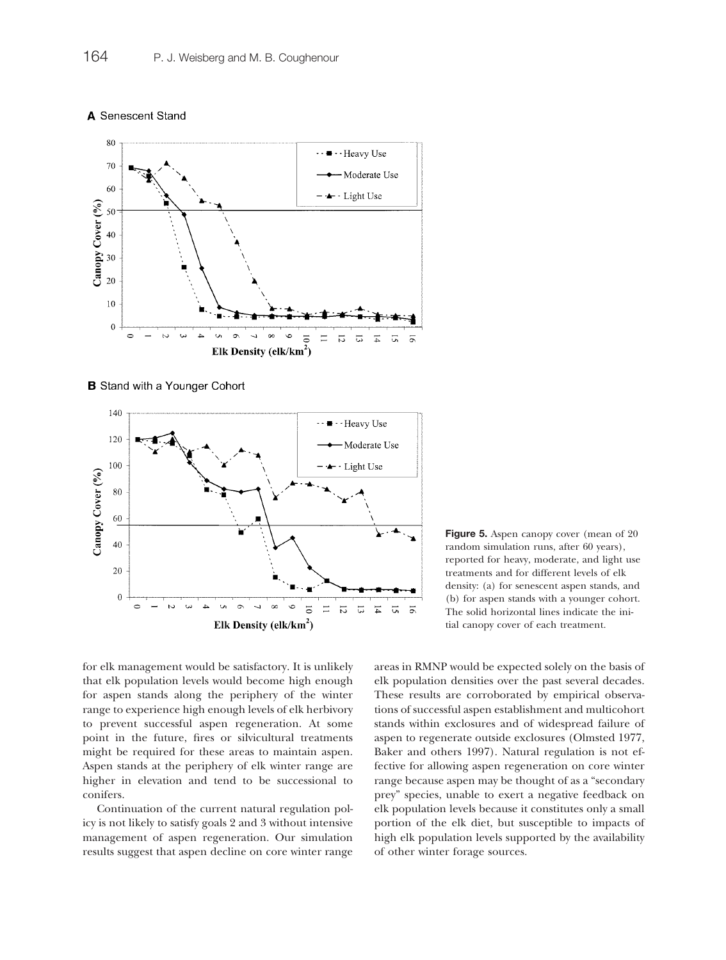



**B** Stand with a Younger Cohort



**Figure 5.** Aspen canopy cover (mean of 20 random simulation runs, after 60 years), reported for heavy, moderate, and light use treatments and for different levels of elk density: (a) for senescent aspen stands, and (b) for aspen stands with a younger cohort. The solid horizontal lines indicate the initial canopy cover of each treatment.

for elk management would be satisfactory. It is unlikely that elk population levels would become high enough for aspen stands along the periphery of the winter range to experience high enough levels of elk herbivory to prevent successful aspen regeneration. At some point in the future, fires or silvicultural treatments might be required for these areas to maintain aspen. Aspen stands at the periphery of elk winter range are higher in elevation and tend to be successional to conifers.

Continuation of the current natural regulation policy is not likely to satisfy goals 2 and 3 without intensive management of aspen regeneration. Our simulation results suggest that aspen decline on core winter range areas in RMNP would be expected solely on the basis of elk population densities over the past several decades. These results are corroborated by empirical observations of successful aspen establishment and multicohort stands within exclosures and of widespread failure of aspen to regenerate outside exclosures (Olmsted 1977, Baker and others 1997). Natural regulation is not effective for allowing aspen regeneration on core winter range because aspen may be thought of as a "secondary prey" species, unable to exert a negative feedback on elk population levels because it constitutes only a small portion of the elk diet, but susceptible to impacts of high elk population levels supported by the availability of other winter forage sources.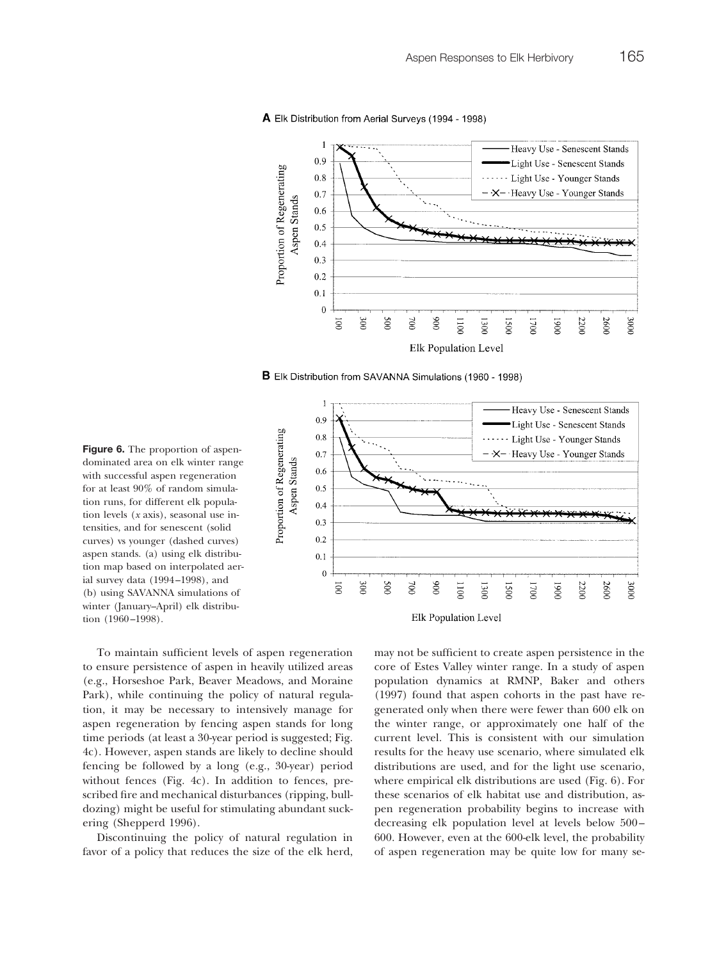#### A Elk Distribution from Aerial Surveys (1994 - 1998)



**B** Elk Distribution from SAVANNA Simulations (1960 - 1998)



**Figure 6.** The proportion of aspendominated area on elk winter range with successful aspen regeneration for at least 90% of random simulation runs, for different elk population levels (*x* axis), seasonal use intensities, and for senescent (solid curves) vs younger (dashed curves) aspen stands. (a) using elk distribution map based on interpolated aerial survey data (1994–1998), and (b) using SAVANNA simulations of winter (January–April) elk distribution (1960–1998).

To maintain sufficient levels of aspen regeneration to ensure persistence of aspen in heavily utilized areas (e.g., Horseshoe Park, Beaver Meadows, and Moraine Park), while continuing the policy of natural regulation, it may be necessary to intensively manage for aspen regeneration by fencing aspen stands for long time periods (at least a 30-year period is suggested; Fig. 4c). However, aspen stands are likely to decline should fencing be followed by a long (e.g., 30-year) period without fences (Fig. 4c). In addition to fences, prescribed fire and mechanical disturbances (ripping, bulldozing) might be useful for stimulating abundant suckering (Shepperd 1996).

Discontinuing the policy of natural regulation in favor of a policy that reduces the size of the elk herd, may not be sufficient to create aspen persistence in the core of Estes Valley winter range. In a study of aspen population dynamics at RMNP, Baker and others (1997) found that aspen cohorts in the past have regenerated only when there were fewer than 600 elk on the winter range, or approximately one half of the current level. This is consistent with our simulation results for the heavy use scenario, where simulated elk distributions are used, and for the light use scenario, where empirical elk distributions are used (Fig. 6). For these scenarios of elk habitat use and distribution, aspen regeneration probability begins to increase with decreasing elk population level at levels below 500– 600. However, even at the 600-elk level, the probability of aspen regeneration may be quite low for many se-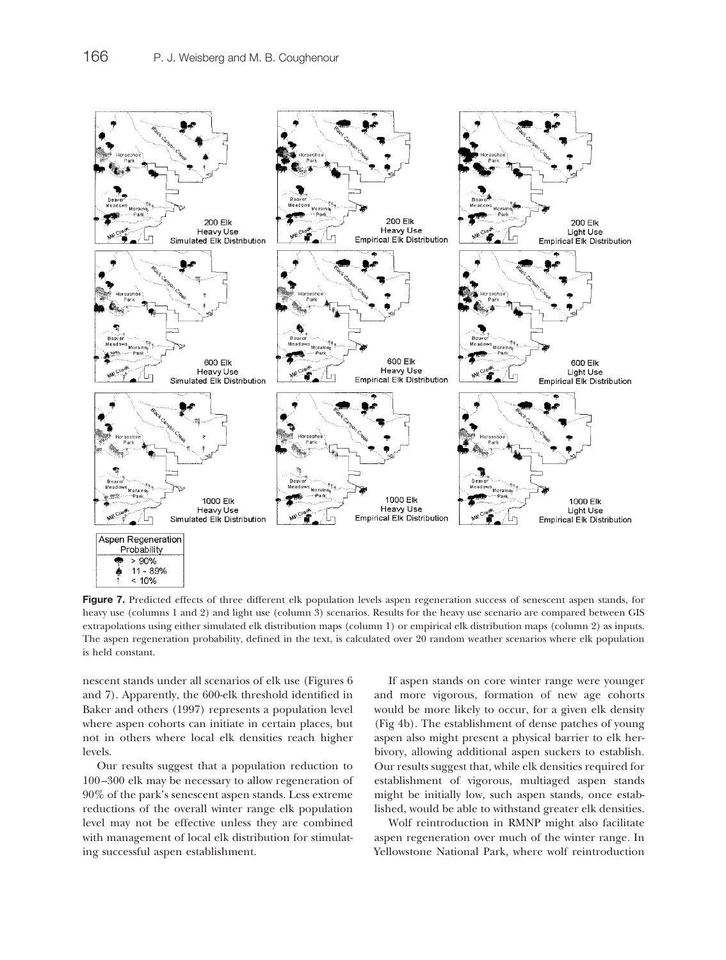

**Figure 7.** Predicted effects of three different elk population levels aspen regeneration success of senescent aspen stands, for heavy use (columns 1 and 2) and light use (column 3) scenarios. Results for the heavy use scenario are compared between GIS extrapolations using either simulated elk distribution maps (column 1) or empirical elk distribution maps (column 2) as inputs. The aspen regeneration probability, defined in the text, is calculated over 20 random weather scenarios where elk population is held constant.

nescent stands under all scenarios of elk use (Figures 6 and 7). Apparently, the 600-elk threshold identified in Baker and others (1997) represents a population level where aspen cohorts can initiate in certain places, but not in others where local elk densities reach higher levels.

Our results suggest that a population reduction to 100–300 elk may be necessary to allow regeneration of 90% of the park's senescent aspen stands. Less extreme reductions of the overall winter range elk population level may not be effective unless they are combined with management of local elk distribution for stimulating successful aspen establishment.

If aspen stands on core winter range were younger and more vigorous, formation of new age cohorts would be more likely to occur, for a given elk density (Fig 4b). The establishment of dense patches of young aspen also might present a physical barrier to elk herbivory, allowing additional aspen suckers to establish. Our results suggest that, while elk densities required for establishment of vigorous, multiaged aspen stands might be initially low, such aspen stands, once established, would be able to withstand greater elk densities.

Wolf reintroduction in RMNP might also facilitate aspen regeneration over much of the winter range. In Yellowstone National Park, where wolf reintroduction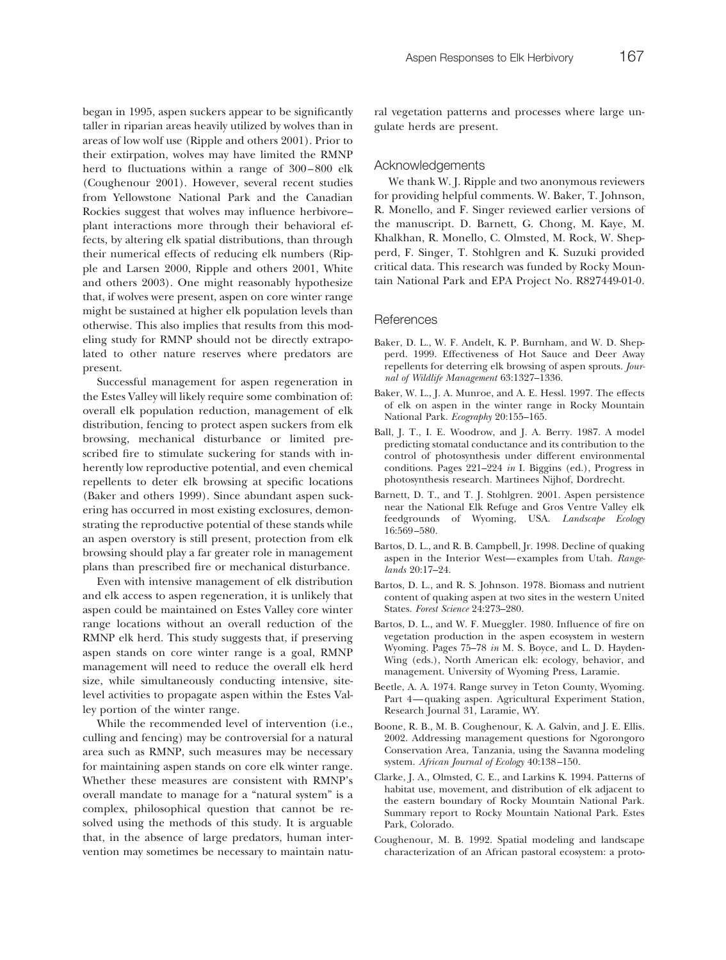#### Acknowledgements

We thank W. J. Ripple and two anonymous reviewers for providing helpful comments. W. Baker, T. Johnson, R. Monello, and F. Singer reviewed earlier versions of the manuscript. D. Barnett, G. Chong, M. Kaye, M. Khalkhan, R. Monello, C. Olmsted, M. Rock, W. Shepperd, F. Singer, T. Stohlgren and K. Suzuki provided critical data. This research was funded by Rocky Mountain National Park and EPA Project No. R827449-01-0.

#### References

- Baker, D. L., W. F. Andelt, K. P. Burnham, and W. D. Shepperd. 1999. Effectiveness of Hot Sauce and Deer Away repellents for deterring elk browsing of aspen sprouts. *Journal of Wildlife Management* 63:1327–1336.
- Baker, W. L., J. A. Munroe, and A. E. Hessl. 1997. The effects of elk on aspen in the winter range in Rocky Mountain National Park. *Ecography* 20:155–165.
- Ball, J. T., I. E. Woodrow, and J. A. Berry. 1987. A model predicting stomatal conductance and its contribution to the control of photosynthesis under different environmental conditions. Pages 221–224 *in* I. Biggins (ed.), Progress in photosynthesis research. Martinees Nijhof, Dordrecht.
- Barnett, D. T., and T. J. Stohlgren. 2001. Aspen persistence near the National Elk Refuge and Gros Ventre Valley elk feedgrounds of Wyoming, USA. *Landscape Ecology* 16:569–580.
- Bartos, D. L., and R. B. Campbell, Jr. 1998. Decline of quaking aspen in the Interior West—examples from Utah. *Rangelands* 20:17–24.
- Bartos, D. L., and R. S. Johnson. 1978. Biomass and nutrient content of quaking aspen at two sites in the western United States. *Forest Science* 24:273–280.
- Bartos, D. L., and W. F. Mueggler. 1980. Influence of fire on vegetation production in the aspen ecosystem in western Wyoming. Pages 75–78 *in* M. S. Boyce, and L. D. Hayden-Wing (eds.), North American elk: ecology, behavior, and management. University of Wyoming Press, Laramie.
- Beetle, A. A. 1974. Range survey in Teton County, Wyoming. Part 4—quaking aspen. Agricultural Experiment Station, Research Journal 31, Laramie, WY.
- Boone, R. B., M. B. Coughenour, K. A. Galvin, and J. E. Ellis. 2002. Addressing management questions for Ngorongoro Conservation Area, Tanzania, using the Savanna modeling system. *African Journal of Ecology* 40:138–150.
- Clarke, J. A., Olmsted, C. E., and Larkins K. 1994. Patterns of habitat use, movement, and distribution of elk adjacent to the eastern boundary of Rocky Mountain National Park. Summary report to Rocky Mountain National Park. Estes Park, Colorado.
- Coughenour, M. B. 1992. Spatial modeling and landscape characterization of an African pastoral ecosystem: a proto-

began in 1995, aspen suckers appear to be significantly taller in riparian areas heavily utilized by wolves than in areas of low wolf use (Ripple and others 2001). Prior to their extirpation, wolves may have limited the RMNP herd to fluctuations within a range of 300–800 elk (Coughenour 2001). However, several recent studies from Yellowstone National Park and the Canadian Rockies suggest that wolves may influence herbivore– plant interactions more through their behavioral effects, by altering elk spatial distributions, than through their numerical effects of reducing elk numbers (Ripple and Larsen 2000, Ripple and others 2001, White and others 2003). One might reasonably hypothesize that, if wolves were present, aspen on core winter range might be sustained at higher elk population levels than otherwise. This also implies that results from this modeling study for RMNP should not be directly extrapolated to other nature reserves where predators are present.

Successful management for aspen regeneration in the Estes Valley will likely require some combination of: overall elk population reduction, management of elk distribution, fencing to protect aspen suckers from elk browsing, mechanical disturbance or limited prescribed fire to stimulate suckering for stands with inherently low reproductive potential, and even chemical repellents to deter elk browsing at specific locations (Baker and others 1999). Since abundant aspen suckering has occurred in most existing exclosures, demonstrating the reproductive potential of these stands while an aspen overstory is still present, protection from elk browsing should play a far greater role in management plans than prescribed fire or mechanical disturbance.

Even with intensive management of elk distribution and elk access to aspen regeneration, it is unlikely that aspen could be maintained on Estes Valley core winter range locations without an overall reduction of the RMNP elk herd. This study suggests that, if preserving aspen stands on core winter range is a goal, RMNP management will need to reduce the overall elk herd size, while simultaneously conducting intensive, sitelevel activities to propagate aspen within the Estes Valley portion of the winter range.

While the recommended level of intervention (i.e., culling and fencing) may be controversial for a natural area such as RMNP, such measures may be necessary for maintaining aspen stands on core elk winter range. Whether these measures are consistent with RMNP's overall mandate to manage for a "natural system" is a complex, philosophical question that cannot be resolved using the methods of this study. It is arguable that, in the absence of large predators, human intervention may sometimes be necessary to maintain natu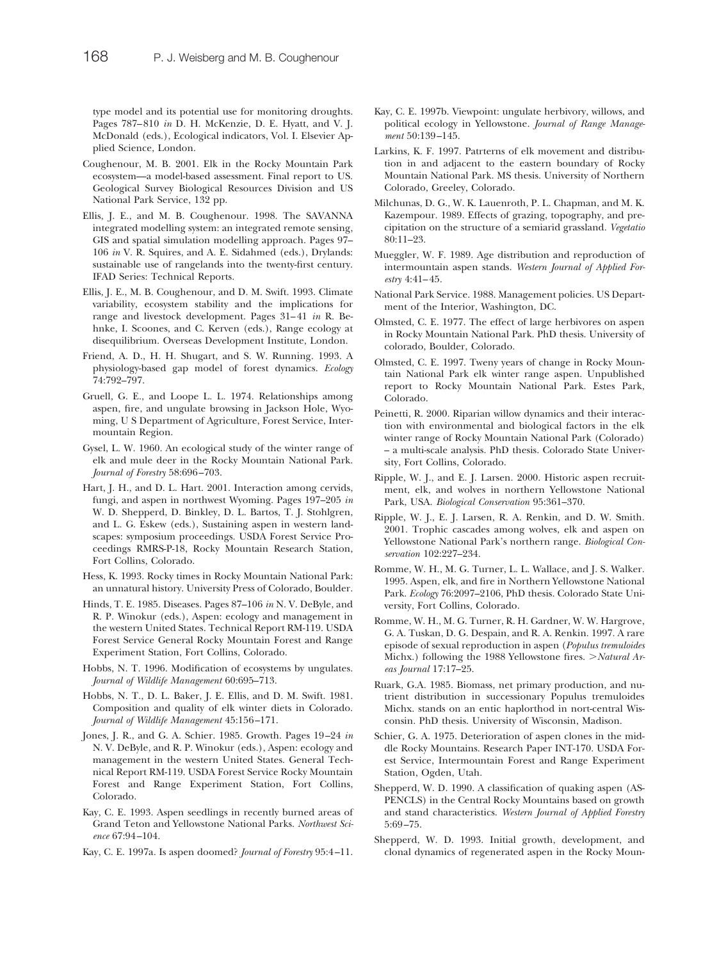type model and its potential use for monitoring droughts. Pages 787–810 *in* D. H. McKenzie, D. E. Hyatt, and V. J. McDonald (eds.), Ecological indicators, Vol. I. Elsevier Applied Science, London.

- Coughenour, M. B. 2001. Elk in the Rocky Mountain Park ecosystem—a model-based assessment. Final report to US. Geological Survey Biological Resources Division and US National Park Service, 132 pp.
- Ellis, J. E., and M. B. Coughenour. 1998. The SAVANNA integrated modelling system: an integrated remote sensing, GIS and spatial simulation modelling approach. Pages 97– 106 *in* V. R. Squires, and A. E. Sidahmed (eds.), Drylands: sustainable use of rangelands into the twenty-first century. IFAD Series: Technical Reports.
- Ellis, J. E., M. B. Coughenour, and D. M. Swift. 1993. Climate variability, ecosystem stability and the implications for range and livestock development. Pages 31–41 *in* R. Behnke, I. Scoones, and C. Kerven (eds.), Range ecology at disequilibrium. Overseas Development Institute, London.
- Friend, A. D., H. H. Shugart, and S. W. Running. 1993. A physiology-based gap model of forest dynamics. *Ecology* 74:792–797.
- Gruell, G. E., and Loope L. L. 1974. Relationships among aspen, fire, and ungulate browsing in Jackson Hole, Wyoming, U S Department of Agriculture, Forest Service, Intermountain Region.
- Gysel, L. W. 1960. An ecological study of the winter range of elk and mule deer in the Rocky Mountain National Park. *Journal of Forestry* 58:696–703.
- Hart, J. H., and D. L. Hart. 2001. Interaction among cervids, fungi, and aspen in northwest Wyoming. Pages 197–205 *in* W. D. Shepperd, D. Binkley, D. L. Bartos, T. J. Stohlgren, and L. G. Eskew (eds.), Sustaining aspen in western landscapes: symposium proceedings. USDA Forest Service Proceedings RMRS-P-18, Rocky Mountain Research Station, Fort Collins, Colorado.
- Hess, K. 1993. Rocky times in Rocky Mountain National Park: an unnatural history. University Press of Colorado, Boulder.
- Hinds, T. E. 1985. Diseases. Pages 87–106 *in* N. V. DeByle, and R. P. Winokur (eds.), Aspen: ecology and management in the western United States. Technical Report RM-119. USDA Forest Service General Rocky Mountain Forest and Range Experiment Station, Fort Collins, Colorado.
- Hobbs, N. T. 1996. Modification of ecosystems by ungulates. *Journal of Wildlife Management* 60:695–713.
- Hobbs, N. T., D. L. Baker, J. E. Ellis, and D. M. Swift. 1981. Composition and quality of elk winter diets in Colorado. *Journal of Wildlife Management* 45:156–171.
- Jones, J. R., and G. A. Schier. 1985. Growth. Pages 19–24 *in* N. V. DeByle, and R. P. Winokur (eds.), Aspen: ecology and management in the western United States. General Technical Report RM-119. USDA Forest Service Rocky Mountain Forest and Range Experiment Station, Fort Collins, Colorado.
- Kay, C. E. 1993. Aspen seedlings in recently burned areas of Grand Teton and Yellowstone National Parks. *Northwest Science* 67:94–104.
- Kay, C. E. 1997a. Is aspen doomed? *Journal of Forestry* 95:4–11.
- Kay, C. E. 1997b. Viewpoint: ungulate herbivory, willows, and political ecology in Yellowstone. *Journal of Range Management* 50:139–145.
- Larkins, K. F. 1997. Patrterns of elk movement and distribution in and adjacent to the eastern boundary of Rocky Mountain National Park. MS thesis. University of Northern Colorado, Greeley, Colorado.
- Milchunas, D. G., W. K. Lauenroth, P. L. Chapman, and M. K. Kazempour. 1989. Effects of grazing, topography, and precipitation on the structure of a semiarid grassland. *Vegetatio* 80:11–23.
- Mueggler, W. F. 1989. Age distribution and reproduction of intermountain aspen stands. *Western Journal of Applied Forestry* 4:41–45.
- National Park Service. 1988. Management policies. US Department of the Interior, Washington, DC.
- Olmsted, C. E. 1977. The effect of large herbivores on aspen in Rocky Mountain National Park. PhD thesis. University of colorado, Boulder, Colorado.
- Olmsted, C. E. 1997. Tweny years of change in Rocky Mountain National Park elk winter range aspen. Unpublished report to Rocky Mountain National Park. Estes Park, Colorado.
- Peinetti, R. 2000. Riparian willow dynamics and their interaction with environmental and biological factors in the elk winter range of Rocky Mountain National Park (Colorado) – a multi-scale analysis. PhD thesis. Colorado State University, Fort Collins, Colorado.
- Ripple, W. J., and E. J. Larsen. 2000. Historic aspen recruitment, elk, and wolves in northern Yellowstone National Park, USA. *Biological Conservation* 95:361–370.
- Ripple, W. J., E. J. Larsen, R. A. Renkin, and D. W. Smith. 2001. Trophic cascades among wolves, elk and aspen on Yellowstone National Park's northern range. *Biological Conservation* 102:227–234.
- Romme, W. H., M. G. Turner, L. L. Wallace, and J. S. Walker. 1995. Aspen, elk, and fire in Northern Yellowstone National Park. *Ecology* 76:2097–2106, PhD thesis. Colorado State University, Fort Collins, Colorado.
- Romme, W. H., M. G. Turner, R. H. Gardner, W. W. Hargrove, G. A. Tuskan, D. G. Despain, and R. A. Renkin. 1997. A rare episode of sexual reproduction in aspen (*Populus tremuloides* Michx.) following the 1988 Yellowstone fires. *Natural Areas Journal* 17:17–25.
- Ruark, G.A. 1985. Biomass, net primary production, and nutrient distribution in successionary Populus tremuloides Michx. stands on an entic haplorthod in nort-central Wisconsin. PhD thesis. University of Wisconsin, Madison.
- Schier, G. A. 1975. Deterioration of aspen clones in the middle Rocky Mountains. Research Paper INT-170. USDA Forest Service, Intermountain Forest and Range Experiment Station, Ogden, Utah.
- Shepperd, W. D. 1990. A classification of quaking aspen (AS-PENCLS) in the Central Rocky Mountains based on growth and stand characteristics. *Western Journal of Applied Forestry* 5:69–75.
- Shepperd, W. D. 1993. Initial growth, development, and clonal dynamics of regenerated aspen in the Rocky Moun-